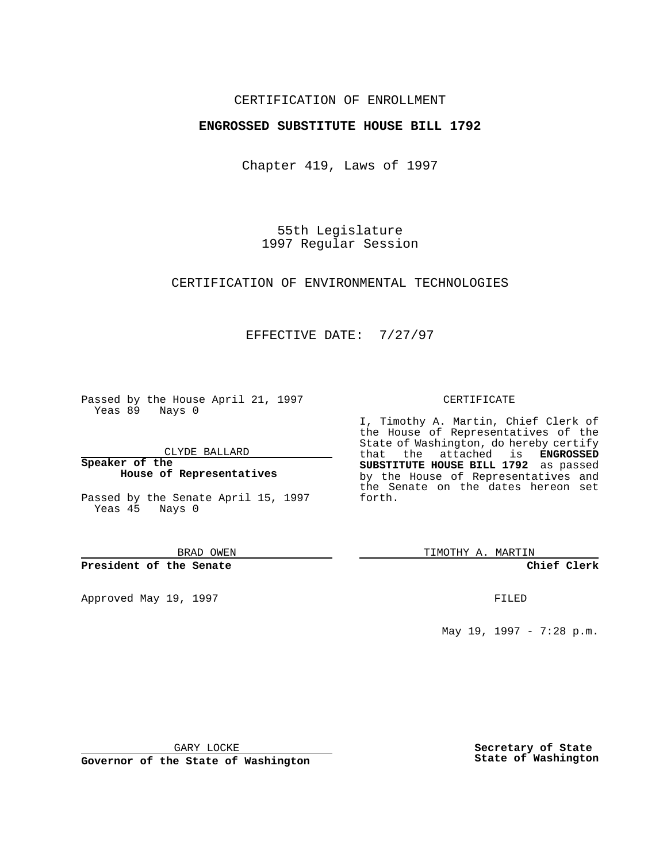## CERTIFICATION OF ENROLLMENT

## **ENGROSSED SUBSTITUTE HOUSE BILL 1792**

Chapter 419, Laws of 1997

55th Legislature 1997 Regular Session

CERTIFICATION OF ENVIRONMENTAL TECHNOLOGIES

## EFFECTIVE DATE: 7/27/97

Passed by the House April 21, 1997 Yeas 89 Nays 0

CLYDE BALLARD

**Speaker of the House of Representatives**

Passed by the Senate April 15, 1997 Yeas 45 Nays 0

BRAD OWEN

**President of the Senate**

Approved May 19, 1997 **FILED** 

#### CERTIFICATE

I, Timothy A. Martin, Chief Clerk of the House of Representatives of the State of Washington, do hereby certify that the attached is **ENGROSSED SUBSTITUTE HOUSE BILL 1792** as passed by the House of Representatives and the Senate on the dates hereon set forth.

TIMOTHY A. MARTIN

#### **Chief Clerk**

May 19, 1997 - 7:28 p.m.

GARY LOCKE

**Governor of the State of Washington**

**Secretary of State State of Washington**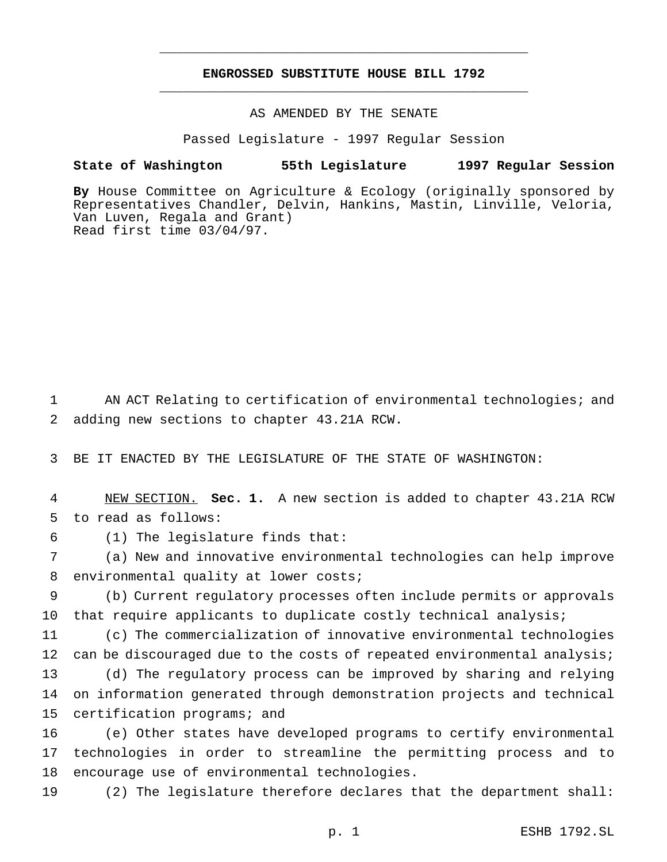# **ENGROSSED SUBSTITUTE HOUSE BILL 1792** \_\_\_\_\_\_\_\_\_\_\_\_\_\_\_\_\_\_\_\_\_\_\_\_\_\_\_\_\_\_\_\_\_\_\_\_\_\_\_\_\_\_\_\_\_\_\_

\_\_\_\_\_\_\_\_\_\_\_\_\_\_\_\_\_\_\_\_\_\_\_\_\_\_\_\_\_\_\_\_\_\_\_\_\_\_\_\_\_\_\_\_\_\_\_

AS AMENDED BY THE SENATE

Passed Legislature - 1997 Regular Session

### **State of Washington 55th Legislature 1997 Regular Session**

**By** House Committee on Agriculture & Ecology (originally sponsored by Representatives Chandler, Delvin, Hankins, Mastin, Linville, Veloria, Van Luven, Regala and Grant) Read first time 03/04/97.

1 AN ACT Relating to certification of environmental technologies; and 2 adding new sections to chapter 43.21A RCW.

3 BE IT ENACTED BY THE LEGISLATURE OF THE STATE OF WASHINGTON:

4 NEW SECTION. **Sec. 1.** A new section is added to chapter 43.21A RCW 5 to read as follows:

6 (1) The legislature finds that:

15 certification programs; and

7 (a) New and innovative environmental technologies can help improve 8 environmental quality at lower costs;

9 (b) Current regulatory processes often include permits or approvals 10 that require applicants to duplicate costly technical analysis;

 (c) The commercialization of innovative environmental technologies 12 can be discouraged due to the costs of repeated environmental analysis; (d) The regulatory process can be improved by sharing and relying on information generated through demonstration projects and technical

16 (e) Other states have developed programs to certify environmental 17 technologies in order to streamline the permitting process and to 18 encourage use of environmental technologies.

19 (2) The legislature therefore declares that the department shall: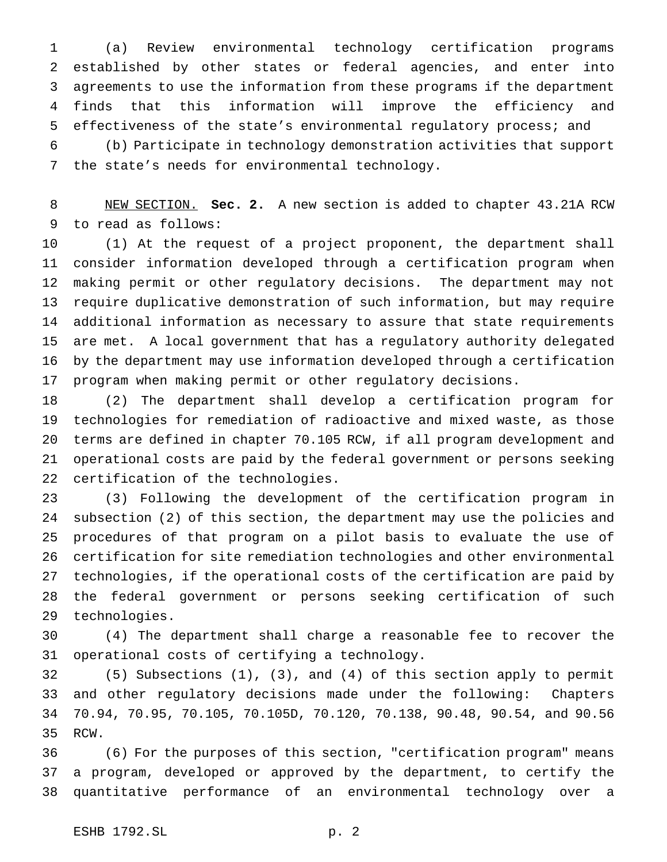(a) Review environmental technology certification programs established by other states or federal agencies, and enter into agreements to use the information from these programs if the department finds that this information will improve the efficiency and effectiveness of the state's environmental regulatory process; and

 (b) Participate in technology demonstration activities that support the state's needs for environmental technology.

 NEW SECTION. **Sec. 2.** A new section is added to chapter 43.21A RCW to read as follows:

 (1) At the request of a project proponent, the department shall consider information developed through a certification program when making permit or other regulatory decisions. The department may not require duplicative demonstration of such information, but may require additional information as necessary to assure that state requirements are met. A local government that has a regulatory authority delegated by the department may use information developed through a certification program when making permit or other regulatory decisions.

 (2) The department shall develop a certification program for technologies for remediation of radioactive and mixed waste, as those terms are defined in chapter 70.105 RCW, if all program development and operational costs are paid by the federal government or persons seeking certification of the technologies.

 (3) Following the development of the certification program in subsection (2) of this section, the department may use the policies and procedures of that program on a pilot basis to evaluate the use of certification for site remediation technologies and other environmental technologies, if the operational costs of the certification are paid by the federal government or persons seeking certification of such technologies.

 (4) The department shall charge a reasonable fee to recover the operational costs of certifying a technology.

 (5) Subsections (1), (3), and (4) of this section apply to permit and other regulatory decisions made under the following: Chapters 70.94, 70.95, 70.105, 70.105D, 70.120, 70.138, 90.48, 90.54, and 90.56 RCW.

 (6) For the purposes of this section, "certification program" means a program, developed or approved by the department, to certify the quantitative performance of an environmental technology over a